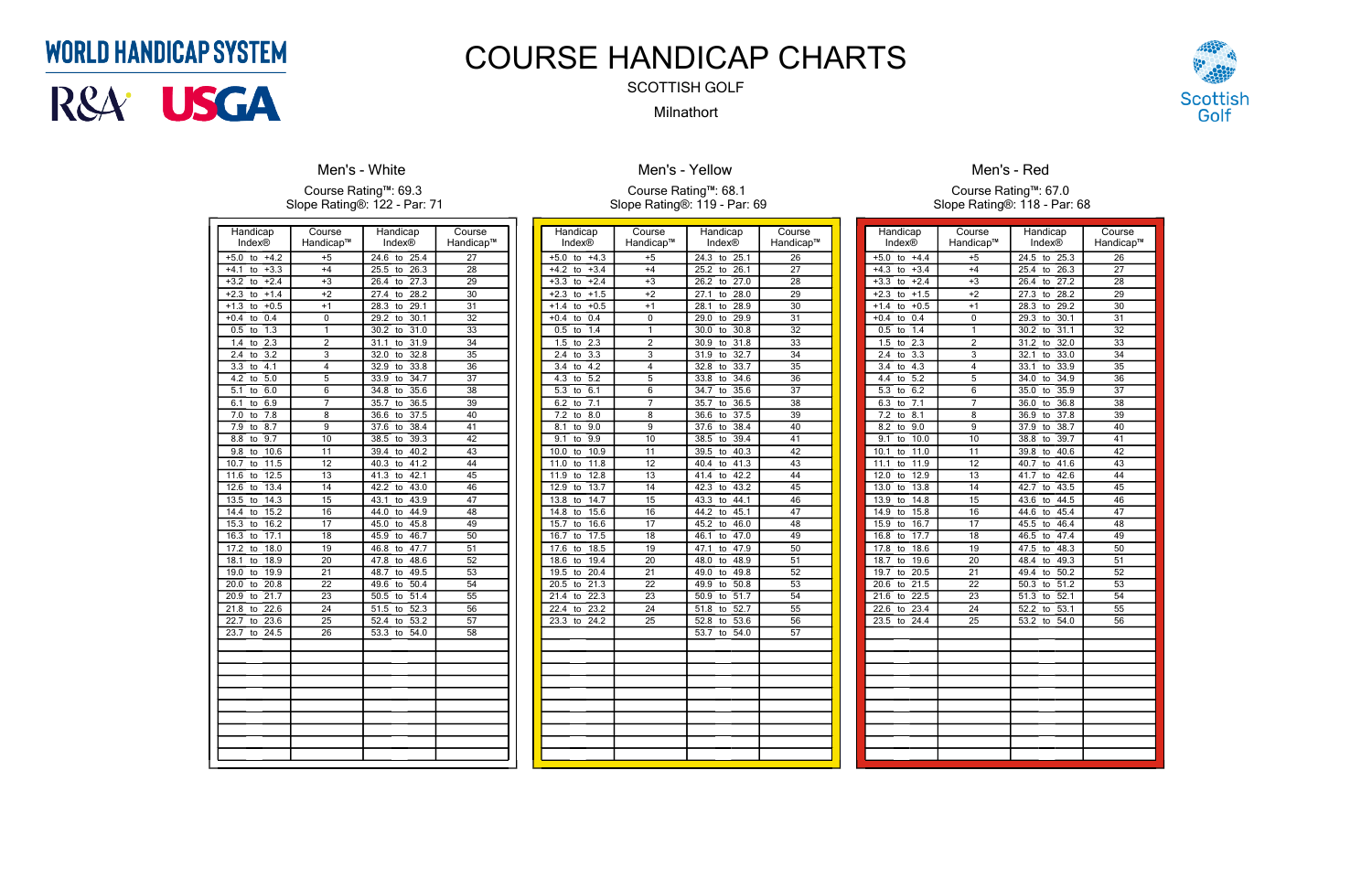| Handicap<br>Index®               | Course<br>Handicap™     | Handicap<br>Index® | Course<br>Handicap™ |
|----------------------------------|-------------------------|--------------------|---------------------|
| $+5.0$<br>$+4.2$<br>to           | $+5$                    | 24.6<br>25.4<br>to | 27                  |
| $+4.1$<br>$+3.3$<br>to           | $+4$                    | 25.5<br>26.3<br>to | 28                  |
| $+2.4$<br>$+3.2$<br>to           | $+3$                    | 26.4<br>27.3<br>to | $\overline{29}$     |
| $+2.3$<br>$+1.4$<br>to           | $+2$                    | 28.2<br>27.4<br>to | 30                  |
| $+0.5$<br>$+1.3$<br>to           | $+1$                    | 28.3<br>29.1<br>to | $\overline{31}$     |
| $\overline{0.4}$<br>$+0.4$<br>to | 0                       | 29.2<br>30.1<br>to | 32                  |
| 1.3<br>0.5<br>to                 | 1                       | 30.2<br>31.0<br>to | 33                  |
| $2.\overline{3}$<br>1.4<br>to    | $\overline{2}$          | 31.1<br>31.9<br>to | 34                  |
| 3.2<br>2.4<br>to                 | $\overline{\mathbf{3}}$ | 32.0<br>32.8<br>to | $\overline{35}$     |
| 3.3<br>4.1<br>to                 | 4                       | 33.8<br>32.9<br>to | $\overline{36}$     |
| 4.2<br>5.0<br>to                 | $\overline{5}$          | 34.7<br>33.9<br>to | 37                  |
| 5.1<br>6.0<br>to                 | 6                       | 35.6<br>34.8<br>to | $\overline{38}$     |
| 6.1<br>6.9<br>to                 | 7                       | 36.5<br>35.7<br>to | $\overline{39}$     |
| 7.0<br>7.8<br>to                 | 8                       | 37.5<br>36.6<br>to | 40                  |
| 7.9<br>8.7<br>to                 | 9                       | 38.4<br>37.6<br>to | 41                  |
| 8.8<br>9.7<br>to                 | 10                      | 39.3<br>38.5<br>to | $\overline{42}$     |
| 10.6<br>9.8<br>to                | 11                      | 39.4<br>40.2<br>to | 43                  |
| 11.5<br>10.7<br>to               | $\overline{12}$         | 41.2<br>40.3<br>to | 44                  |
| 11.6<br>12.5<br>to               | 13                      | 41.3<br>42.1<br>to | 45                  |
| 13.4<br>12.6<br>to               | 14                      | 43.0<br>42.2<br>to | 46                  |
| 13.5<br>14.3<br>to               | $\overline{15}$         | 43.9<br>43.1<br>to | 47                  |
| 14.4<br>15.2<br>to               | $\overline{16}$         | 44.9<br>44.0<br>to | $\overline{48}$     |
| 15.3<br>16.2<br>to               | 17                      | 45.8<br>45.0<br>to | 49                  |
| 17.1<br>16.3<br>to               | 18                      | 45.9<br>46.7<br>to | 50                  |
| 17.2<br>18.0<br>to               | $\overline{19}$         | 47.7<br>46.8<br>to | 51                  |
| 18.9<br>18.1<br>to               | 20                      | 48.6<br>47.8<br>to | 52                  |
| 19.9<br>19.0<br>to               | $\overline{21}$         | 49.5<br>48.7<br>to | $\overline{53}$     |
| 20.0<br>20.8<br>to               | 22                      | 50.4<br>49.6<br>to | 54                  |
| 20.9<br>21.7<br>to               | 23                      | 51.4<br>50.5<br>to | 55                  |
| 22.6<br>21.8<br>to               | 24                      | 51.5<br>52.3<br>to | 56                  |
| 22.7<br>23.6<br>to               | 25                      | 53.2<br>52.4<br>to | $\overline{57}$     |
| 23.7<br>24.5<br>to               | 26                      | 53.3<br>54.0<br>to | $\overline{58}$     |
|                                  |                         |                    |                     |
|                                  |                         |                    |                     |
|                                  |                         |                    |                     |
|                                  |                         |                    |                     |
|                                  |                         |                    |                     |
|                                  |                         |                    |                     |
|                                  |                         |                    |                     |
|                                  |                         |                    |                     |
|                                  |                         |                    |                     |
|                                  |                         |                    |                     |
|                                  |                         |                    |                     |

### **Men's - White**

#### Course Rating™: 69.3 Slope Rating®: 122 - Par: 71

| Handicap                      | Course          | Handicap                        | Course          |
|-------------------------------|-----------------|---------------------------------|-----------------|
| Index®                        | Handicap™       | Index®                          | Handicap™       |
| $+4.3$<br>$+5.0$<br>to        | $+5$            | 24.3<br>25.1<br>to              | $\overline{26}$ |
| $+3.4$<br>$+4.2$<br>to        | $+4$            | 25.2<br>26.1<br>to              | 27              |
| $+2.4$<br>$+3.3$<br>to        | $+3$            | 26.2<br>27.0<br>to              | 28              |
| $+2.3$<br>$+1.5$<br>to        | $+2$            | 27.1<br>28.0<br>to              | 29              |
| $+0.5$<br>$+1.4$<br>to        | $+1$            | 28.9<br>28.1<br>to              | $\overline{30}$ |
| 0.4<br>$+0.4$<br>to           | 0               | 29.0<br>29.9<br>to              | $\overline{31}$ |
| $\overline{1.4}$<br>0.5<br>to | 1               | 30.0<br>30.8<br>to              | $\overline{32}$ |
| 2.3<br>1.5<br>to              | $\overline{2}$  | 31.8<br>30.9<br>to              | $\overline{33}$ |
| 2.4<br>3.3<br>to              | $\overline{3}$  | 32.7<br>31.9<br>to              | $\overline{34}$ |
| $\overline{4.2}$<br>3.4<br>to | 4               | 33.7<br>32.8<br>to              | $\overline{35}$ |
| 4.3<br>5.2<br>to              | 5               | 33.8<br>34.6<br>to              | 36              |
| $\overline{5.3}$<br>6.1<br>to | 6               | 35.6<br>34.7<br>to              | $\overline{37}$ |
| 7.1<br>6.2<br>to              | 7               | 36.5<br>35.7<br>to              | 38              |
| 7.2<br>8.0<br>to              | 8               | 37.5<br>36.6<br>to              | 39              |
| 8.1<br>9.0<br>to              | $\overline{9}$  | 38.4<br>37.6<br>to              | 40              |
| 9.1<br>$\overline{9.9}$<br>to | $\overline{10}$ | 39.4<br>38.5<br>to              | $\overline{41}$ |
| 10.9<br>10.0<br>to            | 11              | 39.5<br>40.3<br>to              | 42              |
| 11.8<br>11.0<br>to            | $\overline{12}$ | 41.3<br>40.4<br>to              | 43              |
| 12.8<br>11.9<br>to            | $\overline{13}$ | 42.2<br>41.4<br>to              | 44              |
| 12.9<br>13.7<br>to            | 14              | 43.2<br>42.3<br>to              | 45              |
| 13.8<br>14.7<br>to            | 15              | 43.3<br>44.1<br>to              | 46              |
| 15.6<br>14.8<br>to            | $\overline{16}$ | 45.1<br>44.2<br>to              | $\overline{47}$ |
| 15.7<br>16.6<br>to            | 17              | 45.2<br>46.0<br>to              | $\overline{48}$ |
| 16.7<br>17.5<br>to            | 18              | 47.0<br>46.1<br>to              | 49              |
| 18.5<br>17.6<br>to            | 19              | 47.1<br>47.9<br>to              | 50              |
| 18.6<br>19.4<br>to            | 20              | 48.9<br>48.0<br>to              | 51              |
| 19.5<br>20.4<br>to            | 21              | 49.0<br>49.8<br>to              | 52              |
| 21.3<br>20.5<br>to            | 22              | 50.8<br>49.9<br>to              | 53              |
| 22.3<br>21.4<br>to            | $\overline{23}$ | $\overline{51.7}$<br>50.9<br>to | 54              |
| 22.4<br>23.2<br>to            | 24              | 52.7<br>51.8<br>to              | $\overline{55}$ |
| 24.2<br>23.3<br>to            | $\overline{25}$ | 53.6<br>52.8<br>to              | 56              |
|                               |                 | 53.7<br>54.0<br>to              | 57              |
|                               |                 |                                 |                 |
|                               |                 |                                 |                 |
|                               |                 |                                 |                 |
|                               |                 |                                 |                 |
|                               |                 |                                 |                 |
|                               |                 |                                 |                 |
|                               |                 |                                 |                 |
|                               |                 |                                 |                 |
|                               |                 |                                 |                 |
|                               |                 |                                 |                 |

### **Men's - Yellow**

### Course Rating™: 68.1 Slope Rating®: 119 - Par: 69

| Handicap<br>Index®            | Course<br>Handicap™     | Handicap<br>Index <sup>®</sup>  | Course<br>Handicap™ |
|-------------------------------|-------------------------|---------------------------------|---------------------|
| $+5.0$<br>$+4.4$<br>to        | $+5$                    | 24.5<br>25.3<br>to              | 26                  |
| $+4.3$<br>$+3.4$<br>to        | $+4$                    | 25.4<br>26.3<br>to              | 27                  |
| $+2.4$<br>$+3.3$<br>to        | $+3$                    | 26.4<br>27.2<br>to              | $\overline{28}$     |
| $+1.5$<br>$+2.3$<br>to        | $+2$                    | 27.3<br>28.2<br>to              | 29                  |
| $+1.4$<br>$+0.5$<br>to        | $+1$                    | 28.3<br>29.2<br>to              | 30                  |
| $+0.4$<br>0.4<br>to           | 0                       | 29.3<br>30.1<br>to              | $\overline{31}$     |
| 0.5<br>1.4<br>to              | 1                       | 30.2<br>31.1<br>to              | 32                  |
| $2.\overline{3}$<br>1.5<br>to | $\overline{2}$          | 31.2<br>32.0<br>to              | $3\overline{3}$     |
| 2.4<br>$\overline{3.3}$<br>to | $\overline{\mathbf{3}}$ | 32.1<br>33.0<br>to              | 34                  |
| 3.4<br>4.3<br>to              | 4                       | 33.1<br>33.9<br>to              | 35                  |
| 4.4<br>5.2<br>to              | 5                       | 34.9<br>34.0<br>to              | 36                  |
| 6.2<br>5.3<br>to              | 6                       | 35.0<br>35.9<br>to              | 37                  |
| 6.3<br>$\overline{7.1}$<br>to | 7                       | 36.8<br>36.0<br>to              | $\overline{38}$     |
| 7.2<br>8.1<br>to              | 8                       | 37.8<br>36.9<br>to              | 39                  |
| 8.2<br>9.0<br>to              | 9                       | 37.9<br>38.7<br>to              | 40                  |
| 9.1<br>10.0<br>to             | 10                      | 38.8<br>39.7<br>to              | 41                  |
| 11.0<br>10.1<br>to            | 11                      | 40.6<br>39.8<br>to              | 42                  |
| 11.1<br>11.9<br>to            | 12                      | 40.7<br>41.6<br>to              | 43                  |
| 12.0<br>12.9<br>to            | 13                      | 41.7<br>42.6<br>to              | 44                  |
| 13.0<br>13.8<br>to            | 14                      | 43.5<br>42.7<br>to              | $\overline{45}$     |
| 13.9<br>14.8<br>to            | 15                      | 44.5<br>43.6<br>to              | 46                  |
| 14.9<br>15.8<br>to            | 16                      | 45.4<br>44.6<br>to              | 47                  |
| 15.9<br>16.7<br>to            | 17                      | 45.5<br>46.4<br>to              | 48                  |
| 16.8<br>17.7<br>to            | 18                      | 46.5<br>47.4<br>to              | 49                  |
| 17.8<br>18.6<br>to            | 19                      | 48.3<br>47.5<br>to              | 50                  |
| 18.7<br>19.6<br>to            | $\overline{20}$         | 48.4<br>49.3<br>to              | 51                  |
| 19.7<br>20.5<br>to            | $\overline{21}$         | 49.4<br>50.2<br>to              | $\overline{52}$     |
| 21.5<br>20.6<br>to            | 22                      | 50.3<br>$\overline{51.2}$<br>to | 53                  |
| 22.5<br>21.6<br>to            | 23                      | 51.3<br>52.1<br>to              | 54                  |
| 22.6<br>23.4<br>to            | 24                      | 52.2<br>53.1<br>to              | $\overline{55}$     |
| 23.5<br>24.4<br>to            | $\overline{25}$         | 53.2<br>54.0<br>to              | 56                  |
|                               |                         |                                 |                     |
|                               |                         |                                 |                     |
|                               |                         |                                 |                     |
|                               |                         |                                 |                     |
|                               |                         |                                 |                     |
|                               |                         |                                 |                     |
|                               |                         |                                 |                     |
|                               |                         |                                 |                     |
|                               |                         |                                 |                     |
|                               |                         |                                 |                     |
|                               |                         |                                 |                     |
|                               |                         |                                 |                     |



# Men's - Red

#### Course Rating™: 67.0 Slope Rating®: 118 - Par: 68

# **WORLD HANDICAP SYSTEM**



# COURSE HANDICAP CHARTS

# SCOTTISH GOLF

# Milnathort